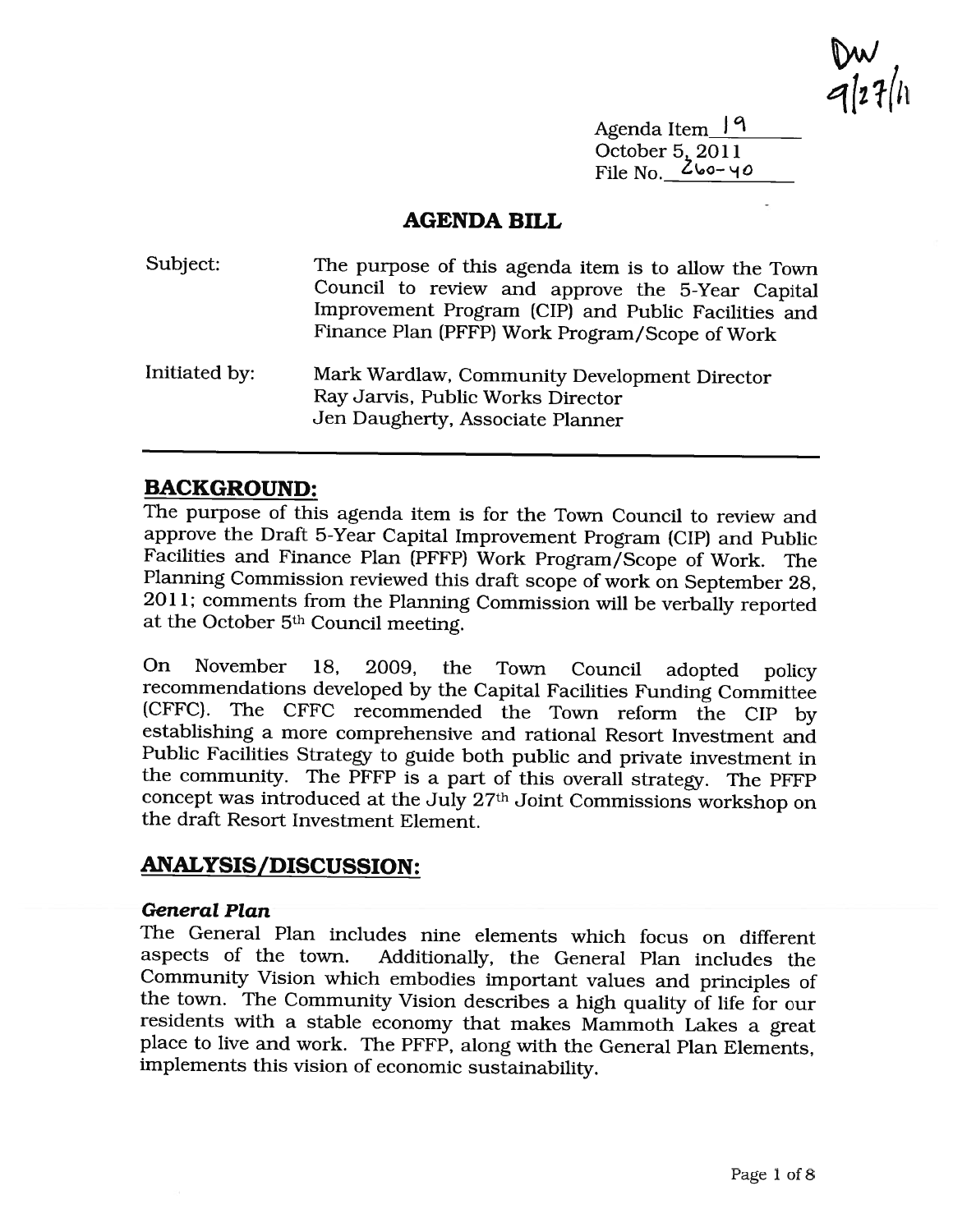$\frac{vw}{4!27}$ 

Agenda Item\_19 October 5, 2011 File No.\_\_\_\_\_\_\_\_\_\_

#### AGENDA BILL

| Subject:      | The purpose of this agenda item is to allow the Town<br>Council to review and approve the 5-Year Capital<br>Improvement Program (CIP) and Public Facilities and<br>Finance Plan (PFFP) Work Program/Scope of Work |
|---------------|-------------------------------------------------------------------------------------------------------------------------------------------------------------------------------------------------------------------|
| Initiated by: | Mark Wardlaw, Community Development Director<br>Ray Jarvis, Public Works Director<br>Jen Daugherty, Associate Planner                                                                                             |

### BACKGROUND:

The purpose of this agenda item is for the Town Council to review and approve the Draft 5-Year Capital Improvement Program (CIP) and Public Facilities and Finance Plan (PFFP) Work Program/Scope of Work. The Planning Commission reviewed this draft scope of work on September 28, 2011; comments from the Planning Commission will be verbally reported at the October 5th Council meeting.

On November 18, 2009, the Town Council adopted policy recommendations developed by the Capital Facilities Funding Committee (CFFC). The CFFC recommended the Town reform the CIP by establishing <sup>a</sup> more comprehensive and rational Resort Investment and Public Facilities Strategy to guide both public and private investment in the community. The PFFP is <sup>a</sup> part of this overall strategy. The PFFP concept was introduced at the July 27th Joint Commissions workshop on the draft Resort Investment Element.

# ANALYSIS/DISCUSSION:

#### General Plan

The General Plan includes nine elements which focus on different aspects of the town. Additionally, the General Plan includes the Community Vision which embodies important values and principles of the town. The Community Vision describes <sup>a</sup> high quality of life for our residents with <sup>a</sup> stable economy that makes Mammoth Lakes <sup>a</sup> great place to live and work. The PFFP, along with the General Plan Elements, implements this vision of economic sustainability.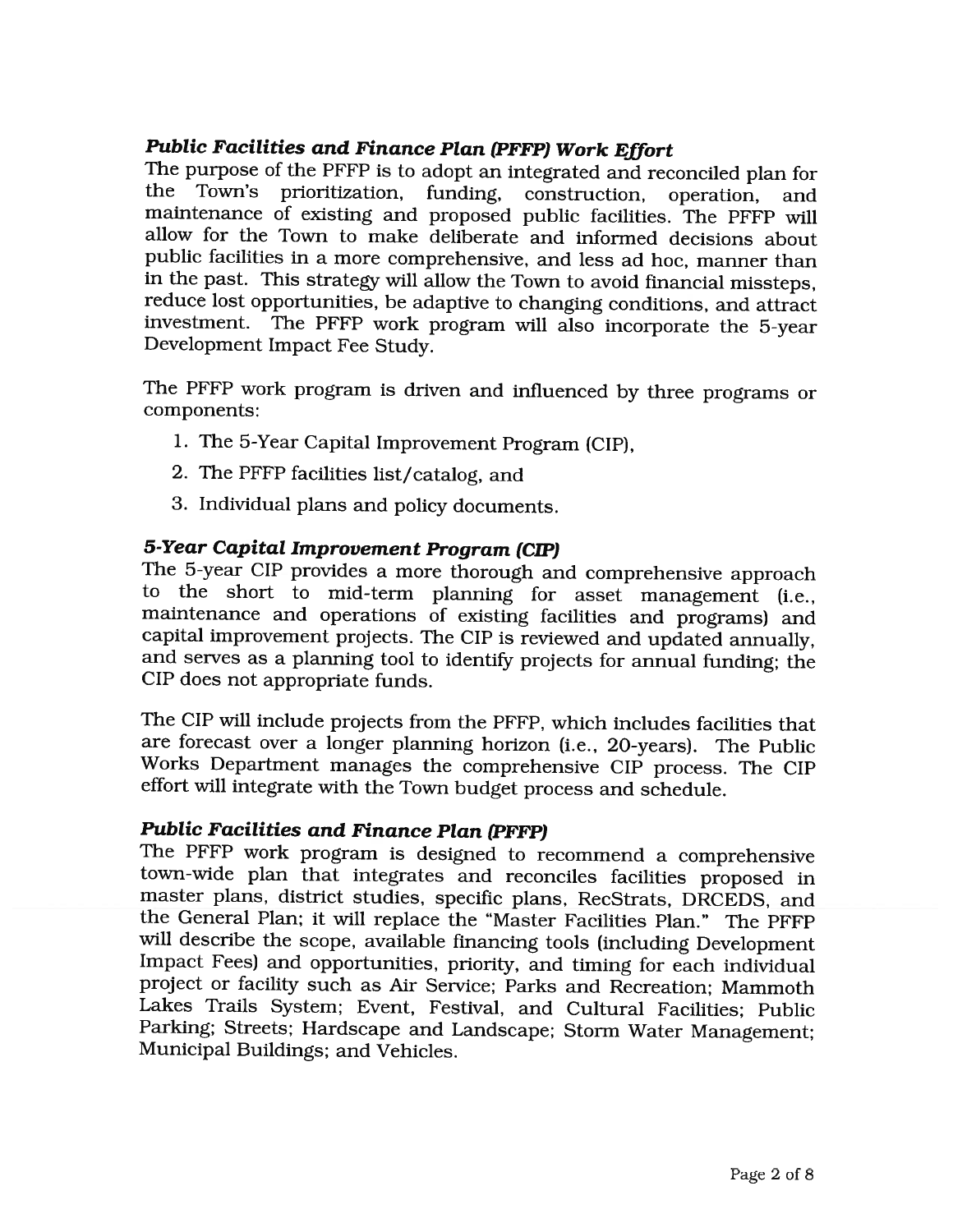### Public Facilities and Finance Plan (PFFP) Work Effort

The purpose of the PFFP is to adopt an integrated and reconciled plan for the Town's prioritization, funding, construction, operation, and maintenance of existing and proposed public facilities. The PFFP will allow for the Town to make deliberate and informed decisions about public facilities in <sup>a</sup> more comprehensive, and less ad hoc, manner than in the past. This strategy will allow the Town to avoid financial missteps, reduce lost opportunities, be adaptive to changing conditions, and attract investment. The PFFP work program will also incorporate the 5-year Development Impact Fee Study.

The PFFP work program is driven and influenced by three programs or components:

- 1. The 5-Year Capital Improvement Program (CIP),
- 2. The PFFP facilities list/catalog, and
- 3. Individual plans and policy documents.

#### 5-Year Capital Improvement Program (CIP)

The 5-year CIP provides <sup>a</sup> more thorough and comprehensive approach to the short to mid-term planning for asset management (i.e., maintenance and operations of existing facilities and programs) and capital improvement projects. The CIP is reviewed and updated annually, and serves as <sup>a</sup> planning tool to identify projects for annual funding; the CIP does not appropriate funds.

The CIP will include projects from the PFFP, which includes facilities that are forecast over <sup>a</sup> longer planning horizon (i.e., 20-years). The Public Works Department manages the comprehensive CIP process. The CIP effort will integrate with the Town budget process and schedule.

### Public Facilities and Finance Plan (PFFP)

The PFFP work program is designed to recommend <sup>a</sup> comprehensive town-wide plan that integrates and reconciles facilities proposed in master plans, district studies, specific plans, RecStrats, DRCEDS, and the General Plan; it will replace the "Master Facilities Plan." The PFFP will describe the scope, available financing tools (including Development Impact Fees) and opportunities, priority, and timing for each individual project or facility such as Air Service; Parks and Recreation; Mammoth Lakes Trails System; Event, Festival, and Cultural Facilities; Public Parking; Streets; Hardscape and Landscape; Storm Water Management; Municipal Buildings; and Vehicles.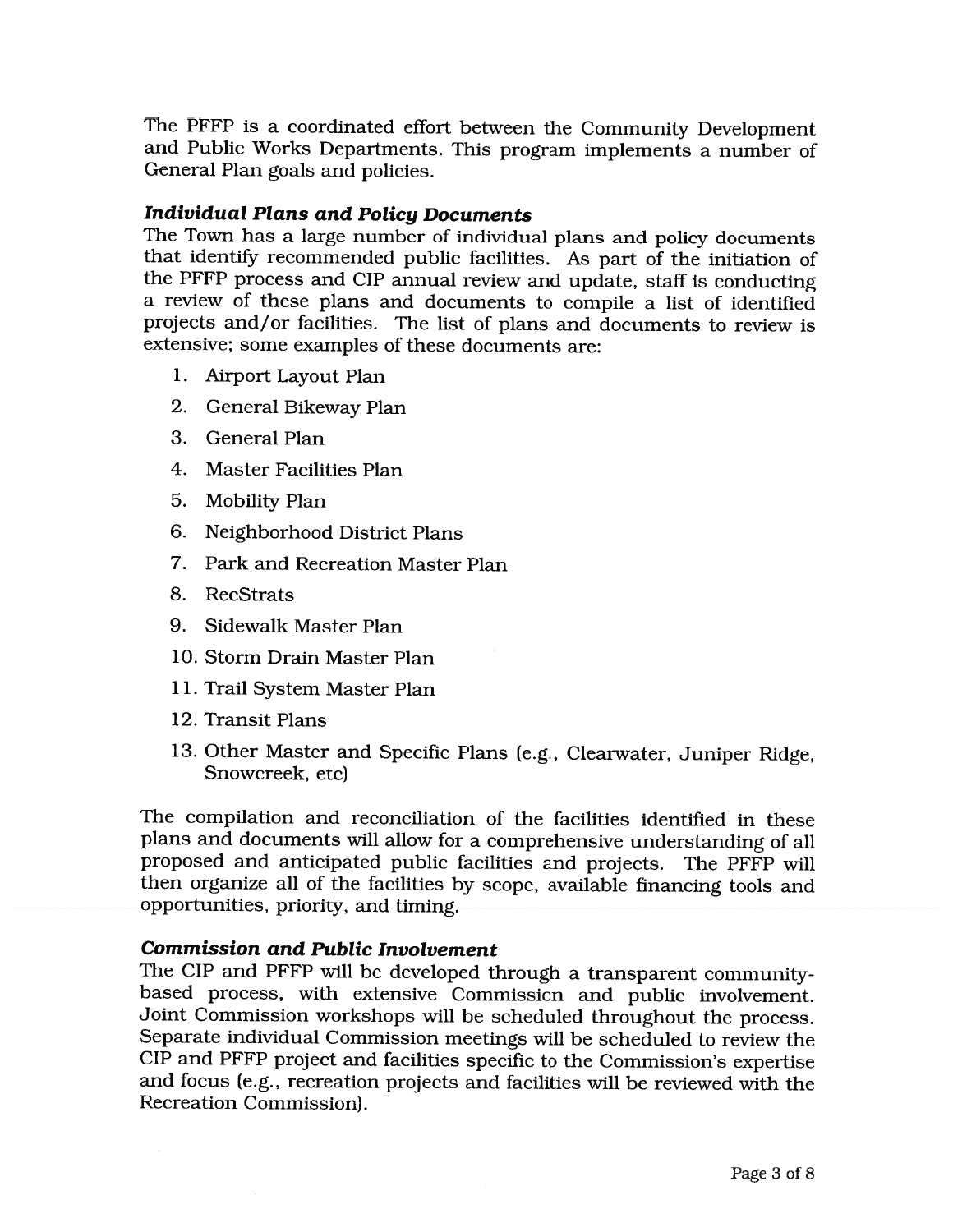The PFFP is <sup>a</sup> coordinated effort between the Community Development and Public Works Departments. This program implements <sup>a</sup> number of General Plan goals and policies.

#### Individual Plans and Policy Documents

The Town has <sup>a</sup> large number of individual plans and policy documents that identify recommended public facilities. As part of the initiation of the PFFP process and CIP annual review and update, staff is conducting <sup>a</sup> review of these plans and documents to compile <sup>a</sup> list of identified projects and/or facilities. The list of plans and documents to review is extensive; some examples of these documents are:

- 1. Airport Layout Plan
- 2. General Bikeway Plan
- 3. General Plan
- 4. Master Facilities Plan
- 5. Mobility Plan
- 6. Neighborhood District Plans
- 7. Park and Recreation Master Plan
- 8. RecStrats
- 9. Sidewalk Master Plan
- 10. Storm Drain Master Plan
- 11. Trail System Master Plan
- 12. Transit Plans
- 13. Other Master and Specific Plans (e.g., Clearwater, Juniper Ridge, Snowcreek, etc)

The compilation and reconciliation of the facilities identified in these plans and documents will allow for <sup>a</sup> comprehensive understanding of all proposed and anticipated public facilities and projects. The PFFP will then organize all of the facilities by scope, available financing tools and opportunities, priority, and timing.

#### Commission and Public Involvement

The CIP and PFFP will be developed through <sup>a</sup> transparent communitybased process, with extensive Commission and public involvement. Joint Commission workshops will be scheduled throughout the process. Separate individual Commission meetings will be scheduled to review the CIP and PFFP project and facilities specific to the Commission's expertise and focus (e.g., recreation projects and facilities will be reviewed with the Recreation Commission).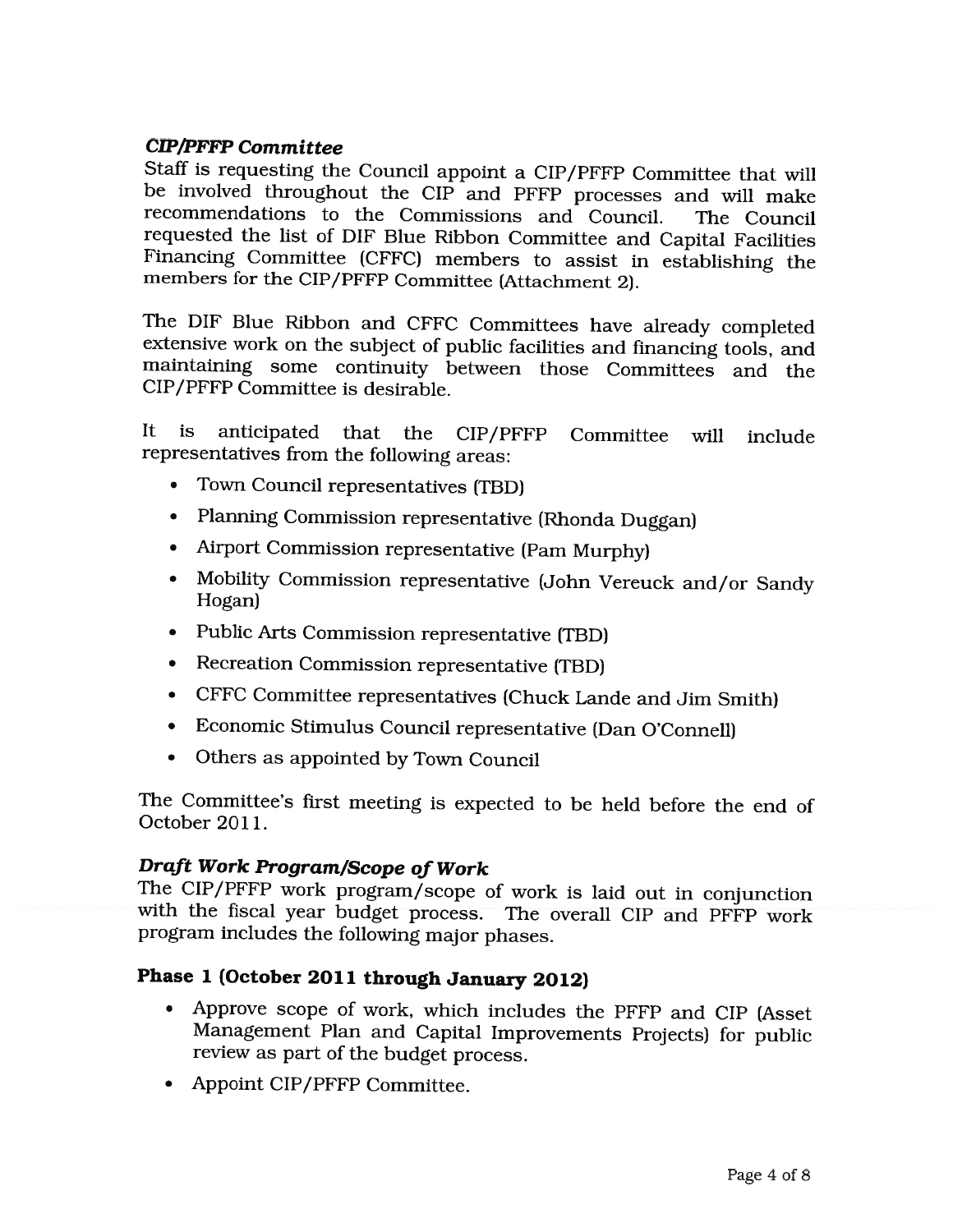### CIP/PFFP Committee

Staff is requesting the Council appoint <sup>a</sup> CIP/PFFP Committee that will be involved throughout the CIP and PFFP processes and will make recommendations to the Commissions and Council. The Council requested the list of DIF Blue Ribbon Committee and Capital Facilities Financing Committee (CFFC) members to assist in establishing the members for the CIP/PFFP Committee (Attachment 2).

The DIF Blue Ribbon and CFFC Committees have already completed extensive work on the subject of public facilities and financing tools, and maintaining some continuity between those Committees and the CIP/PFFP Committee is desirable.

It is anticipated that the CIP/PFFP Committee will include representatives from the following areas:

- Town Council representatives (TBD)
- Planning Commission representative (Rhonda Duggan)
- Airport Commission representative (Pam Murphy)
- Mobility Commission representative (John Vereuck and/or Sandy Hogan)
- Public Arts Commission representative (TBD)
- Recreation Commission representative (TBD)
- CFFC Committee representatives (Chuck Lande and Jim Smith)
- Economic Stimulus Council representative (Dan O'Connell)
- Others as appointed by Town Council

The Committee's first meeting is expected to be held before the end of October 2011.

### Draft Work Program/Scope of Work

The CIP/PFFP work program/scope of work is laid out in conjunction with the fiscal year budget process. The overall CIP and PFFP work program includes the following major phases.

## Phase 1 (October 2011 through January 2012)

- Approve scope of work, which includes the PFFP and CIP (Asset Management Plan and Capital Improvements Projects) for public review as part of the budget process.
- Appoint CIP/PFFP Committee.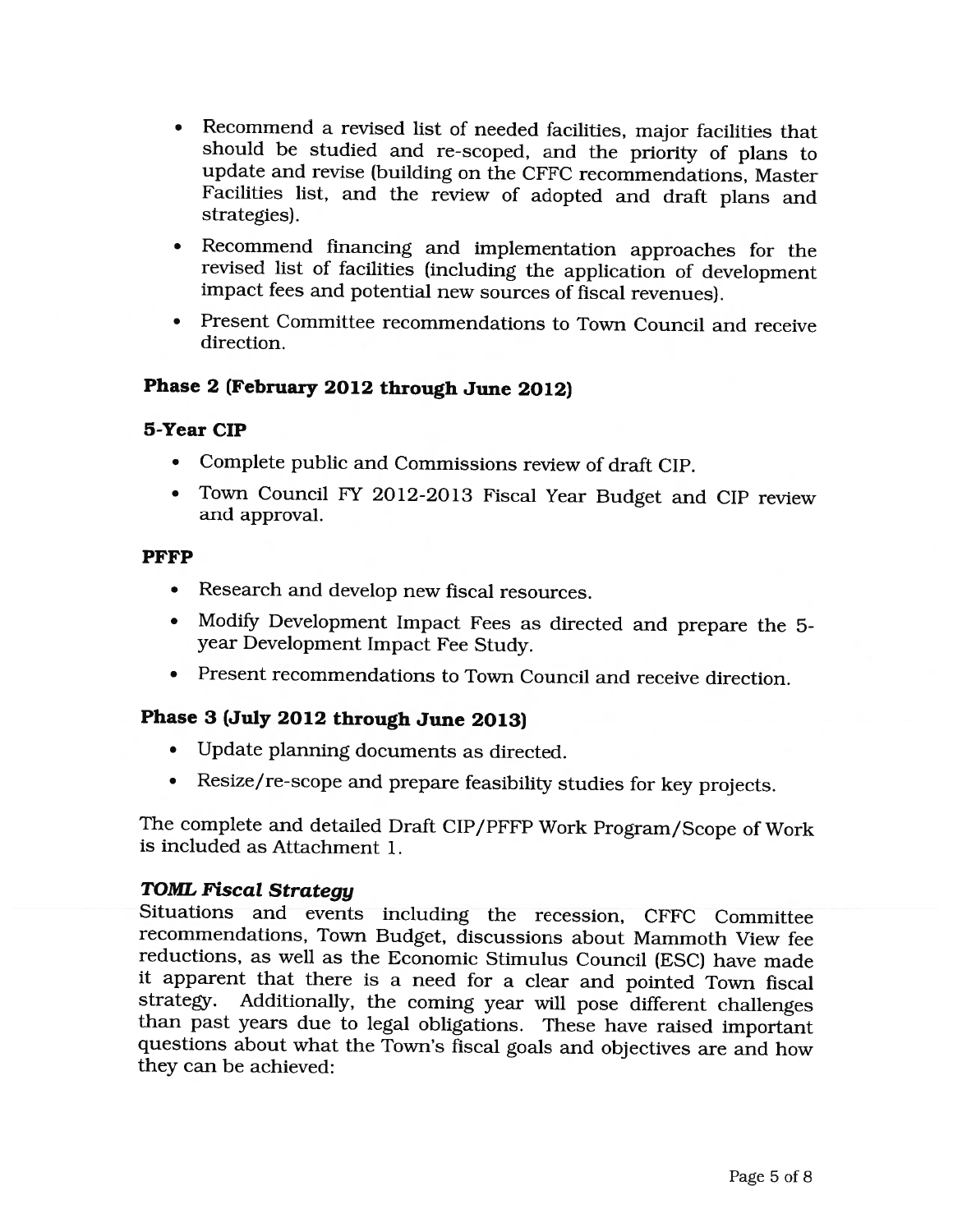- Recommend <sup>a</sup> revised list of needed facilities, major facilities that should be studied and re-scoped, and the priority of pians to update and revise (building on the CFFC recommendations, Master Facilities list, and the review of adopted and draft plans and strategies).
- Recommend financing and implementation approaches for the revised list of facilities (including the application of development impact fees and potential new sources of fiscal revenues).
- Present Committee recommendations to Town Council and receive direction.

### Phase 2 (February 2012 through June 2012)

#### 5-Year CIP

- Complete public and Commissions review of draft CIP.
- Town Council FY 2012-2013 Fiscal Year Budget and CIP review and approval.

#### PFFP

- Research and develop new fiscal resources.
- Modify Development Impact Fees as directed and prepare the 5 year Development Impact Fee Study.
- Present recommendations to Town Council and receive direction.

#### Phase 3 (July 2012 through June 2013)

- Update planning documents as directed.
- Resize/re-scope and prepare feasibility studies for key projects.

The complete and detailed Draft CIP/PFFP Work Program/Scope of Work is included as Attachment 1.

#### TOML Fiscal Strategy

Situations and events including the recession, CFFC Committee recommendations, Town Budget, discussions about Mammoth View fee reductions, as well as the Economic Stimulus Council (ESC) have made it apparent that there is <sup>a</sup> need for <sup>a</sup> clear and pointed Town fiscal strategy. Additionally, the coming year will pose different challenges than past years due to legal obligations. These have raised important questions about what the Town's fiscal goals and objectives are and how they can be achieved: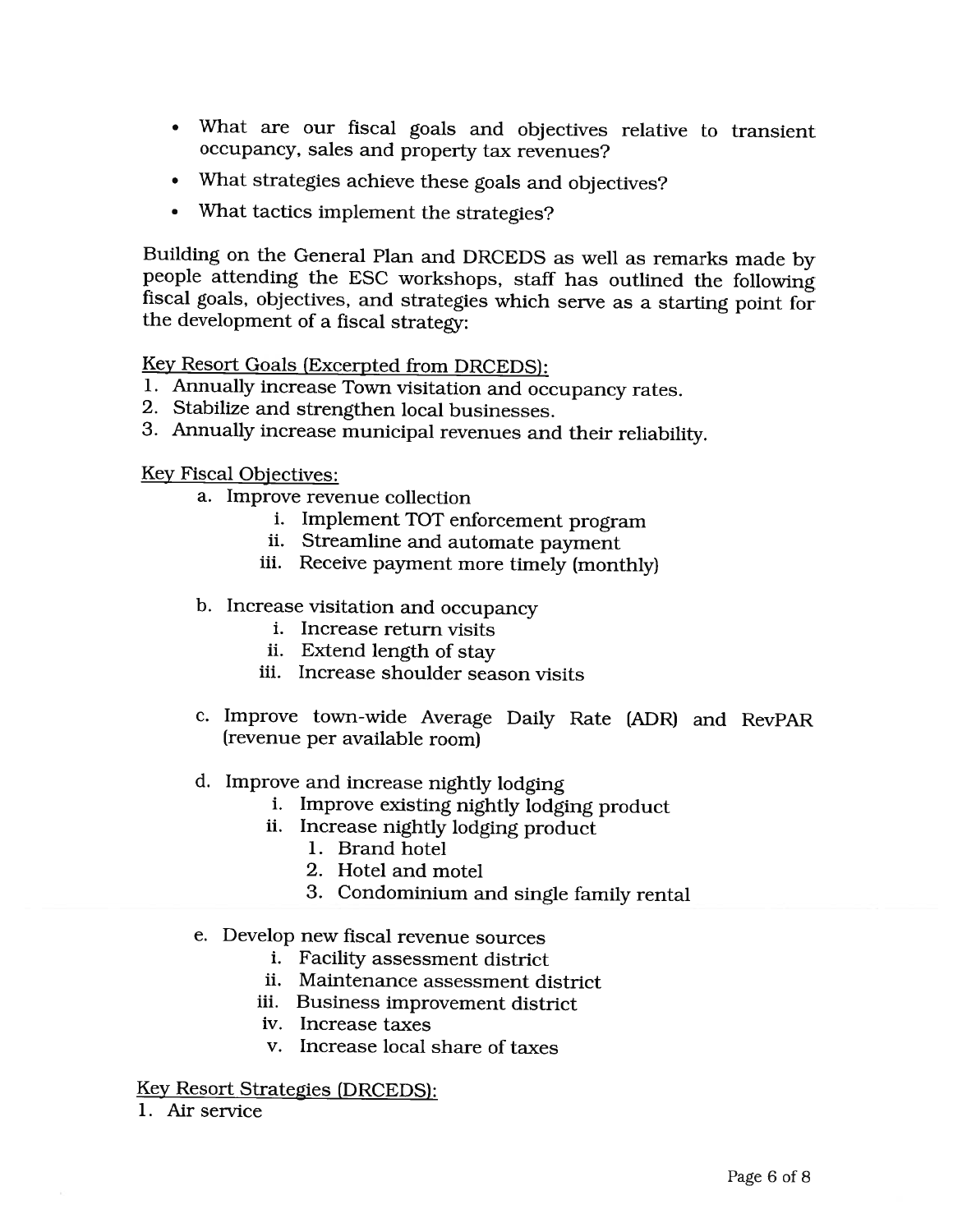- What are our fiscal goals and objectives relative to transient occupancy, sales and property tax revenues?
- What strategies achieve these goals and objectives?
- What tactics implement the strategies?

Building on the General Plan and DRCEDS as well as remarks made by people attending the ESC workshops, staff has outlined the following fiscal goals, objectives, and strategies which serve as <sup>a</sup> starting point for the development of <sup>a</sup> fiscal strategy:

Key Resort Goals (Excerpted from DRCEDS):

- 1. Annually increase Town visitation and occupancy rates.
- 2. Stabilize and strengthen local businesses.
- 3. Annually increase municipal revenues and their reliability.

Key Fiscal Objectives:

- a. Improve revenue collection
	- i. Implement TOT enforcement program
	- ii. Streamline and automate payment
	- iii. Receive payment more timely (monthly)
- b. Increase visitation and occupancy
	- i. Increase return visits
	- ii. Extend length of stay
	- iii. Increase shoulder season visits
- c. Improve town-wide Average Daily Rate (ADR) and RevPAR (revenue per available room)
- d. Improve and increase nightly lodging
	- i. Improve existing nightly lodging product
	- ii. Increase nightly lodging product
		- 1. Brand hotel
		- 2. Hotel and motel
		- 3. Condominium and single family rental

#### e. Develop new fiscal revenue sources

- i. Facility assessment district
- ii. Maintenance assessment district
- iii. Business improvement district
- iv. Increase taxes
- v. Increase local share of taxes

#### Key Resort Strategies (DRCEDS):

1. Air service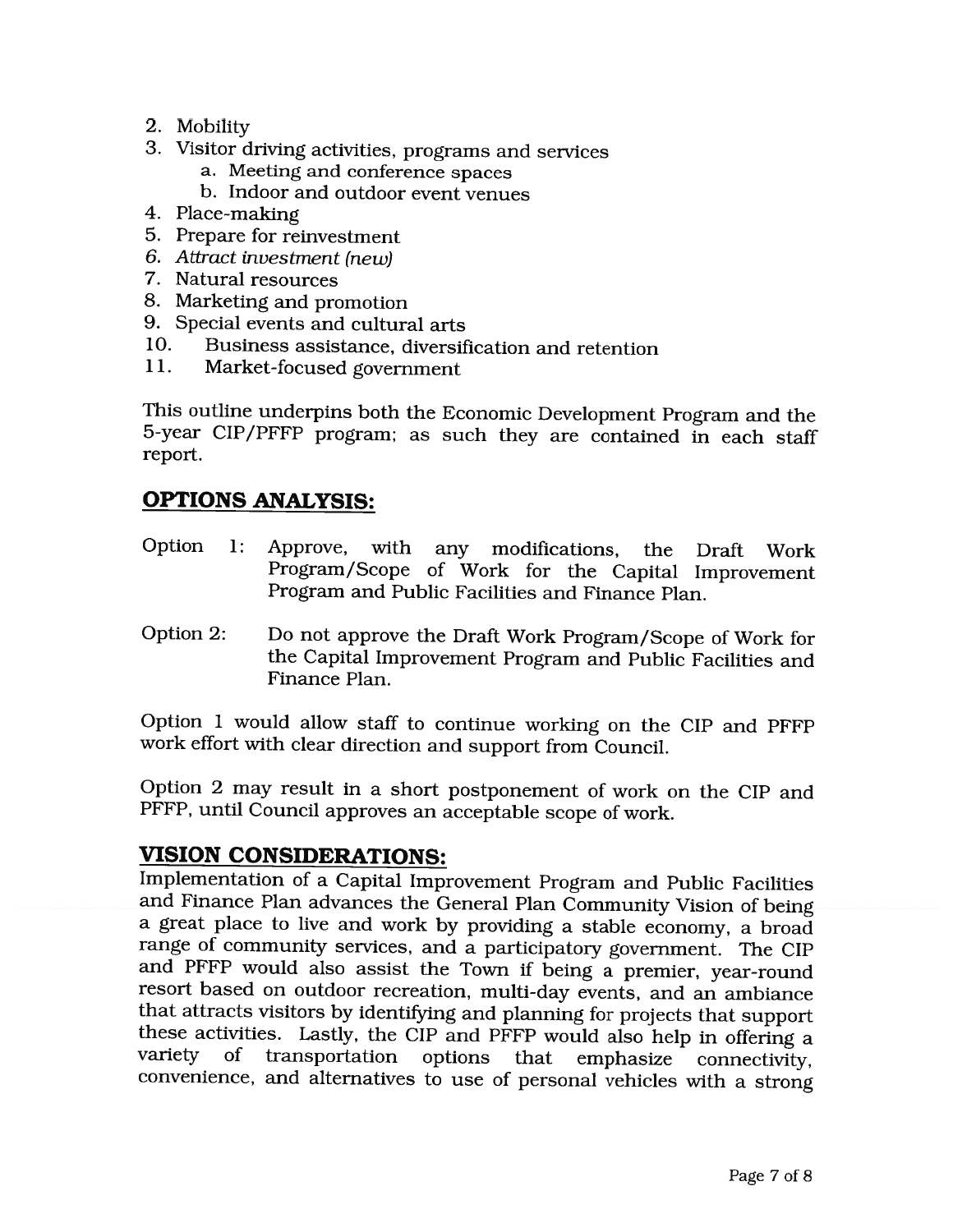- 2. Mobility
- 3. Visitor driving activities, programs and services
	- a. Meeting and conference spaces
	- b. Indoor and outdoor event venues
- 4. Place-making
- 5. Prepare for reinvestment
- 6. Attract investment (new)
- 7. Natural resources
- 8. Marketing and promotion
- 9. Special events and cultural arts
- 10. Business assistance, diversification and retention
- 11. Market-focused government

This outline underpins both the Economic Development Program and the 5-year CIP/PFFP program; as such they are contained in each staff report.

# OPTIONS ANALYSIS:

- Option 1: Approve, with any modifications, the Draft Work Program/Scope of Work for the Capital Improvement Program and Public Facilities and Finance Plan.
- Option 2: Do not approve the Draft Work Program/Scope of Work for the Capital Improvement Program and Public Facilities and Finance Plan.

Option 1 would allow staff to continue working on the CIP and PFFP work effort with clear direction and support from Council.

Option 2 may result in <sup>a</sup> short postponement of work on the CIP and PFFP, until Council approves an acceptable scope of work.

# VISION CONSIDERATIONS:

Implementation of <sup>a</sup> Capital Improvement Program and Public Facilities and Finance Plan advances the General Plan Community Vision of being <sup>a</sup> great place to live and work by providing <sup>a</sup> stable economy, <sup>a</sup> broad range of community services, and <sup>a</sup> participatory government. The CIP and PFFP would also assist the Town if being <sup>a</sup> premier, year-round resort based on outdoor recreation, multi-day events, and an ambiance that attracts visitors by identifying and planning for projects that support these activities. Lastly, the CIP and PFFP would also help in offering <sup>a</sup> variety of transportation options that emphasize connectivity, convenience, and alternatives to use of personal vehicles with <sup>a</sup> strong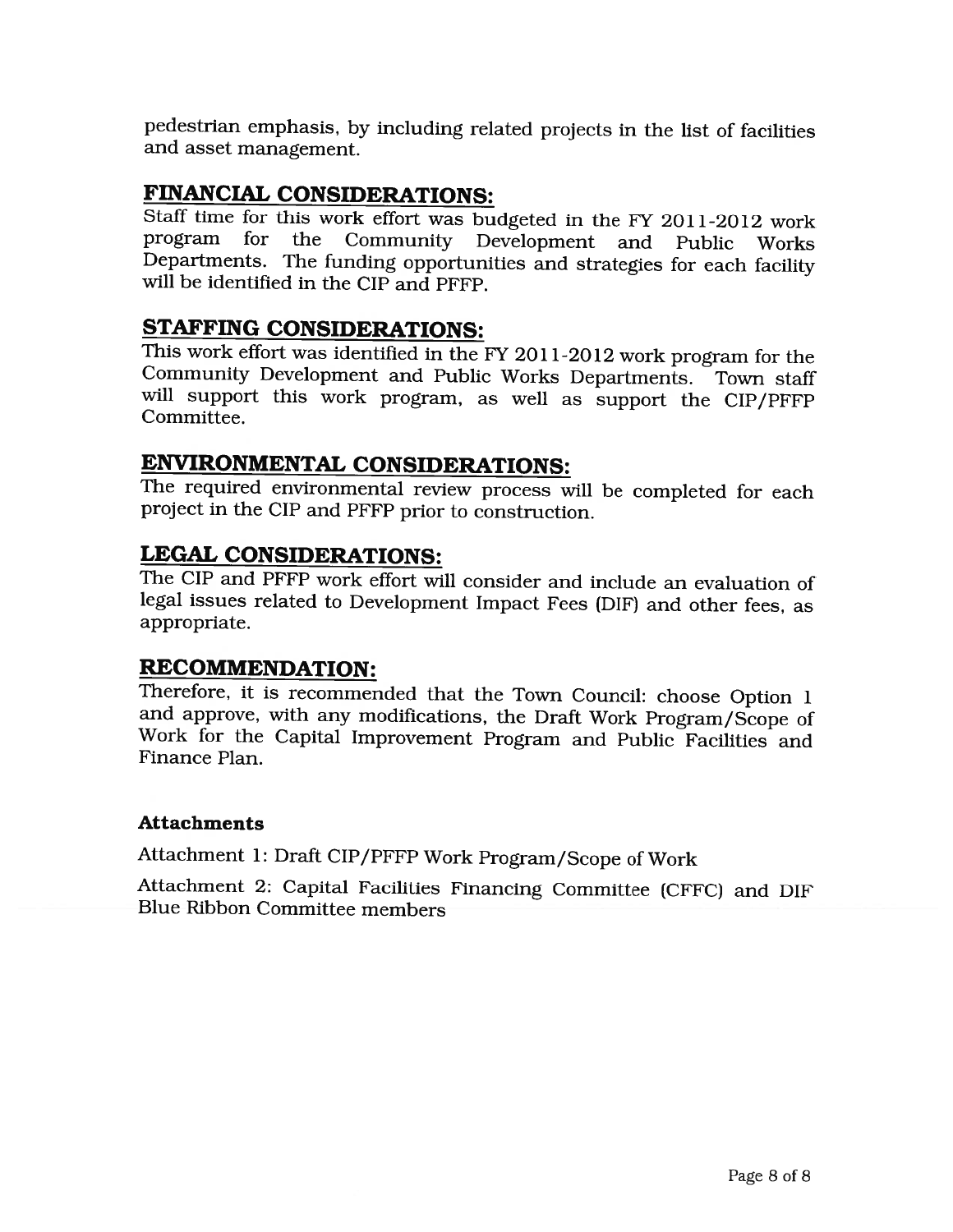pedestrian emphasis, by including related projects in the list of facilities and asset management.

## FINANCIAL CONSIDERATIONS:

Staff time for this work effort was budgeted in the FY 2011-2012 work program for the Community Development and Public Works Departments. The funding opportunities and strategies for each facility will be identified in the CIP and PFFP.

## STAFFING CONSIDERATIONS:

This work effort was identified in the FY 2011-2012 work program for the Community Development and Public Works Departments. Town staff will support this work program, as well as support the CIP/PFFP Committee.

# ENVIRONMENTAL CONSIDERATIONS:

The required environmental review process will be completed for each project in the CIP and PFFP prior to construction.

### LEGAL CONSIDERATIONS:

The CIP and PFFP work effort will consider and include an evaluation of legal issues related to Development Impact Fees (DIF) and other fees, as appropriate.

### RECOMMENDATION:

Therefore, it is recommended that the Town Council: choose Option 1 and approve, with any modifications, the Draft Work Program/Scope of Work for the Capital Improvement Program and Public Facilities and Finance Plan.

#### Attachments

Attachment 1: Draft CIP/PFFP Work Program/Scope of Work

Attachment 2: Capital Facilities Financing Committee (CFFC) and DIF Blue Ribbon Committee members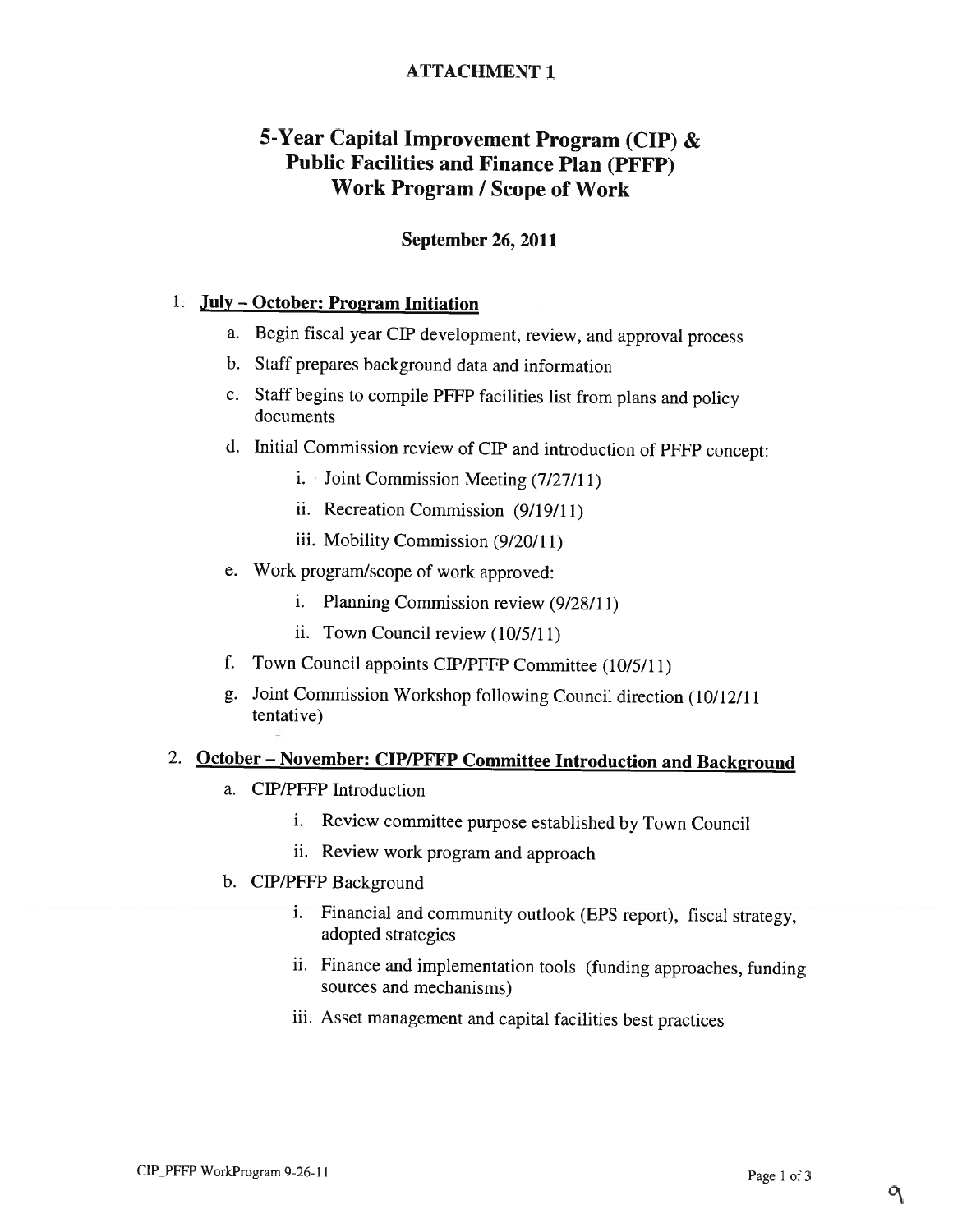### ATTACHMENT 1

# 5-Year Capital Improvement Program (CIP) & Public Facilities and Finance Plan (PFFP) Work Program / Scope of Work

### September 26, 2011

#### July — October: Program Initiation

- a. Begin fiscal year CIP development, review, and approval process
- b. Staff prepares background data and information
- c. Staff begins to compile PFFP facilities list from plans and policy documents
- d. Initial Commission review of CIP and introduction of PFFP concept:
	- $i.$  Joint Commission Meeting (7/27/11)
	- ii. Recreation Commission (9/19/11)
	- iii. Mobility Commission (9/20/11)
- e. Work program/scope of work approved:
	- i. Planning Commission review (9/28/11)
	- ii. Town Council review (10/5/11)
- f. Town Council appoints CIP/PFFP Committee (10/5/11)
- g. Joint Commission Workshop following Council direction (10/12/11 tentative)

# 2. October — November: CIP/PFFP Committee Introduction and Background

- a. CIP/PFFP Introduction
	- i. Review committee purpose established by Town Council
	- ii. Review work program and approach
- b. CIP/PFFP Background
	- i. Financial and community outlook (EPS report), fiscal strategy, adopted strategies
	- ii. Finance and implementation tools (funding approaches, funding sources and mechanisms)
	- iii. Asset management and capital facilities best practices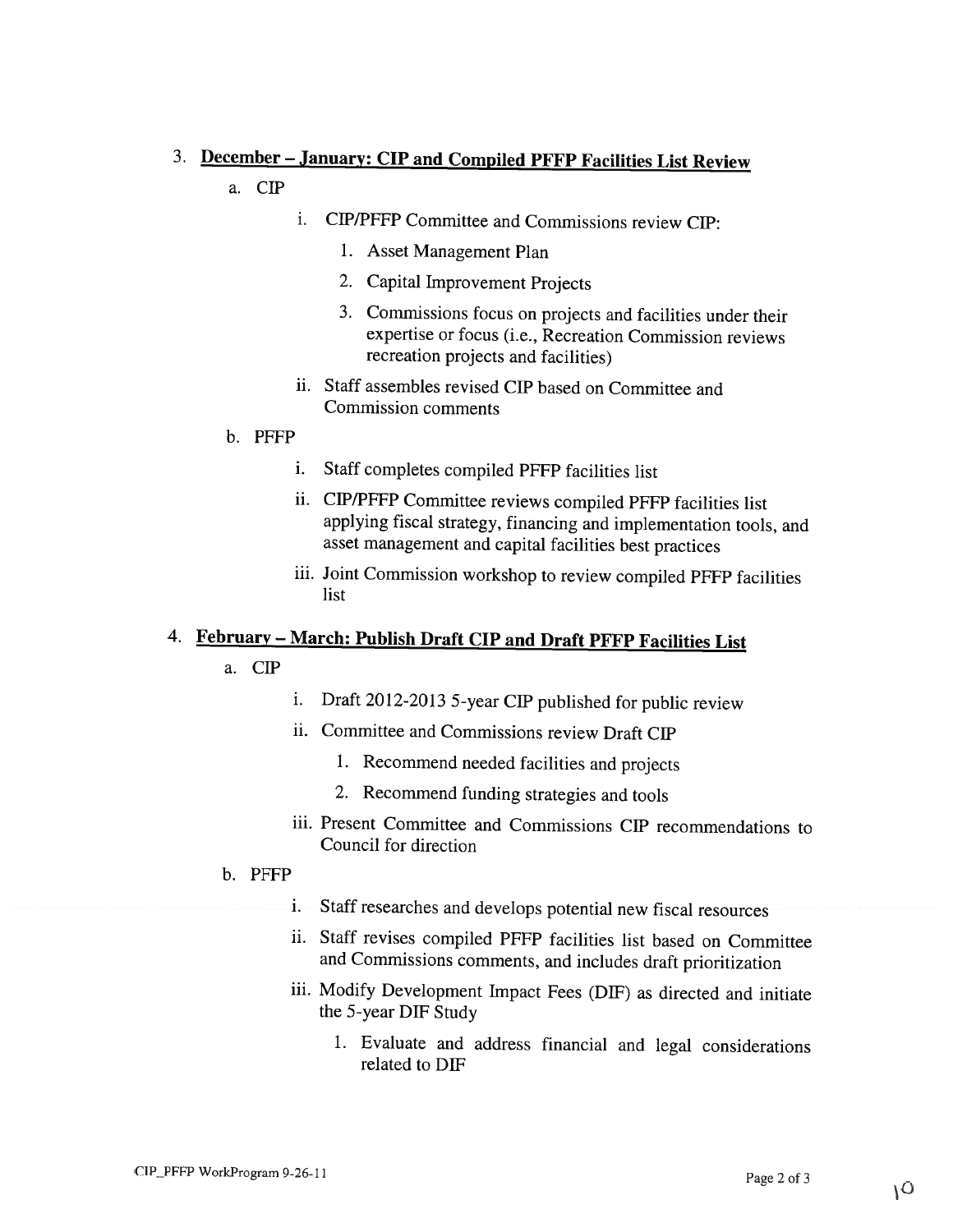# 3. December — January: CIP and Compiled PFFP Facilities List Review

- a.CIP
- i. CIP/PFFP Committee and Commissions review CIP:
	- 1. Asset Management Plan
	- 2. Capital Improvement Projects
	- 3. Commissions focus on projects and facilities under their expertise or focus (i.e., Recreation Commission reviews recreation projects and facilities)
- ii. Staff assembles revised CIP based on Committee and Commission comments
- b. PFFP
	- i. Staff completes compiled PFFP facilities list
	- ii. CIP/PFFP Committee reviews compiled PFFP facilities list applying fiscal strategy, financing and implementation tools, and asset management and capital facilities best practices
	- iii. Joint Commission workshop to review compiled PFFP facilities list

# 4. February – March: Publish Draft CIP and Draft PFFP Facilities List

- a.CIP
- i. Draft 2012-2013 5-year CIP published for public review
- ii. Committee and Commissions review Draft CIP
	- 1. Recommend needed facilities and projects
	- 2. Recommend funding strategies and tools
- iii. Present Committee and Commissions CIP recommendations to Council for direction
- b. PFFP
	- i. Staff researches and develops potential new fiscal resources
	- ii. Staff revises compiled PFFP facilities list based on Committee and Commissions comments, and includes draft prioritization
	- iii. Modify Development Impact Fees (DIF) as directed and initiate the 5-year DIF Study
		- 1. Evaluate and address financial and legal considerations related to DIF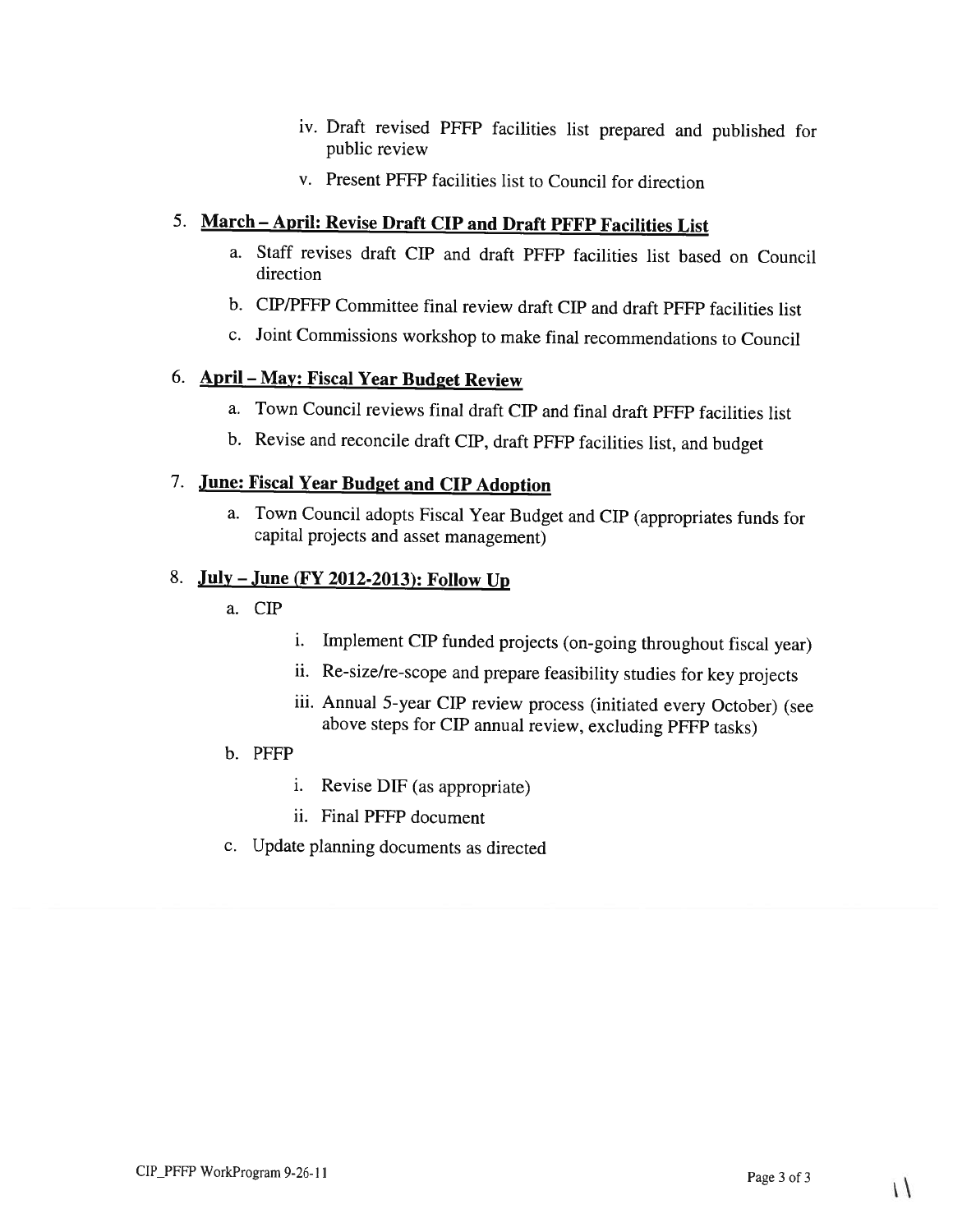- iv. Draft revised PFFP facilities list prepared and published for public review
- v. Present PFFP facilities list to Council for direction

## 5. March — April: Revise Draft CIP and Draft PFFP Facilities List

- a. Staff revises draft CIP and draft PFFP facilities list based on Council direction
- b. CIP/PFFP Committee final review draft CIP and draft PFFP facilities list
- c. Joint Commissions workshop to make final recommendations to Council

### 6. April — May: Fiscal Year Budget Review

- a. Town Council reviews final draft CIP and final draft PFFP facilities list
- b. Revise and reconcile draft CIP, draft PFFP facilities list, and budget

### 7. June: Fiscal Year Budget and CIP Adoption

a. Town Council adopts Fiscal Year Budget and CIP (appropriates funds for capital projects and asset management)

### 8. July – June (FY 2012-2013): Follow Up

- a.CIP
- i. Implement CIP funded projects (on-going throughout fiscal year)
- ii. Re-size/re-scope and prepare feasibility studies for key projects
- iii. Annual 5-year CIP review process (initiated every October) (see above steps for CIP annual review, excluding PFFP tasks)
- b. PFFP
	- i. Revise DiP (as appropriate)
	- ii. Final PFFP document
- c. Update planning documents as directed